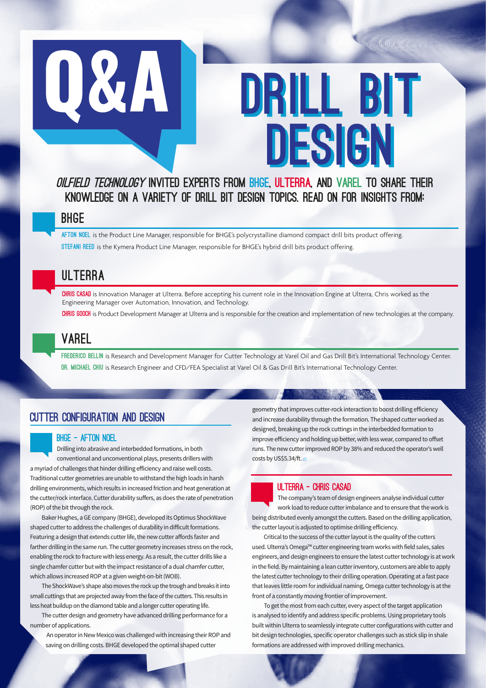

# DRILL BIT DESIGN

**RAD CONTAIN** 

# OILFIELD TECHNOLOGY INVITED EXPERTS FROM BHGE, ULTERRA, AND VAREL TO SHARE THEIR knowledge on a variety of DRILL BIT DESIGN topics. Read on for insights from:

# BHGE

AFTON NOEL is the Product Line Manager, responsible for BHGE's polycrystalline diamond compact drill bits product offering. STEFANI REED is the Kymera Product Line Manager, responsible for BHGE's hybrid drill bits product offering.

# ULTERRA

CHRIS CASAD is Innovation Manager at Ulterra. Before accepting his current role in the Innovation Engine at Ulterra, Chris worked as the Engineering Manager over Automation, Innovation, and Technology.

CHRIS GOOCH is Product Development Manager at Ulterra and is responsible for the creation and implementation of new technologies at the company.

# VAREL

FREDERICO BELLIN is Research and Development Manager for Cutter Technology at Varel Oil and Gas Drill Bit's International Technology Center. DR. MICHAEL CHIU is Research Engineer and CFD/FEA Specialist at Varel Oil & Gas Drill Bit's International Technology Center.

# CUTTER CONFIGURATION AND DESIGN

#### BHGE – Afton Noel

Drilling into abrasive and interbedded formations, in both conventional and unconventional plays, presents drillers with

a myriad of challenges that hinder drilling efficiency and raise well costs. Traditional cutter geometries are unable to withstand the high loads in harsh drilling environments, which results in increased friction and heat generation at the cutter/rock interface. Cutter durability suffers, as does the rate of penetration (ROP) of the bit through the rock.

Baker Hughes, a GE company (BHGE), developed its Optimus ShockWave shaped cutter to address the challenges of durability in difficult formations. Featuring a design that extends cutter life, the new cutter affords faster and farther drilling in the same run. The cutter geometry increases stress on the rock, enabling the rock to fracture with less energy. As a result, the cutter drills like a single chamfer cutter but with the impact resistance of a dual chamfer cutter, which allows increased ROP at a given weight-on-bit (WOB).

The ShockWave's shape also moves the rock up the trough and breaks it into small cuttings that are projected away from the face of the cutters. This results in less heat buildup on the diamond table and a longer cutter operating life.

The cutter design and geometry have advanced drilling performance for a number of applications.

An operator in New Mexico was challenged with increasing their ROP and saving on drilling costs. BHGE developed the optimal shaped cutter

geometry that improves cutter-rock interaction to boost drilling efficiency and increase durability through the formation. The shaped cutter worked as designed, breaking up the rock cuttings in the interbedded formation to improve efficiency and holding up better, with less wear, compared to offset runs. The new cutter improved ROP by 38% and reduced the operator's well costs by US\$5.34/ft.

**CONTRACTOR** 

#### ULTERRA – Chris Casad

The company's team of design engineers analyse individual cutter work load to reduce cutter imbalance and to ensure that the work is being distributed evenly amongst the cutters. Based on the drilling application, the cutter layout is adjusted to optimise drilling efficiency.

Critical to the success of the cutter layout is the quality of the cutters used. Ulterra's Omega™ cutter engineering team works with field sales, sales engineers, and design engineers to ensure the latest cutter technology is at work in the field. By maintaining a lean cutter inventory, customers are able to apply the latest cutter technology to their drilling operation. Operating at a fast pace that leaves little room for individual naming, Omega cutter technology is at the front of a constantly moving frontier of improvement.

To get the most from each cutter, every aspect of the target application is analysed to identify and address specific problems. Using proprietary tools built within Ulterra to seamlessly integrate cutter configurations with cutter and bit design technologies, specific operator challenges such as stick slip in shale formations are addressed with improved drilling mechanics.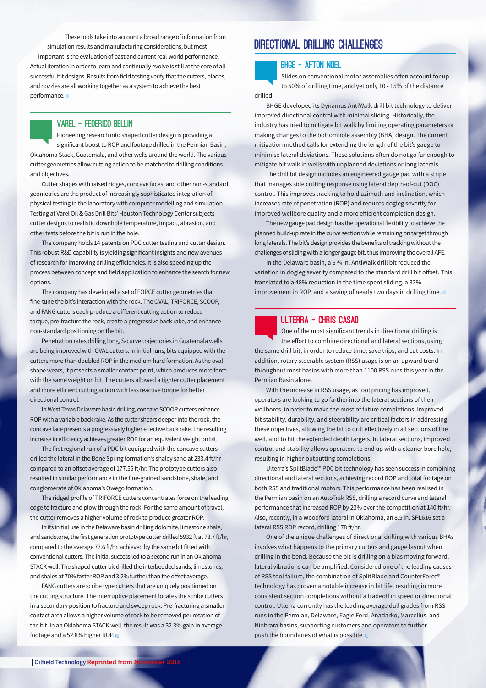These tools take into account a broad range of information from simulation results and manufacturing considerations, but most important is the evaluation of past and current real-world performance. Actual iteration in order to learn and continually evolve is still at the core of all successful bit designs. Results from field testing verify that the cutters, blades, and nozzles are all working together as a system to achieve the best performance.

#### VAREL – Federico Bellin

Pioneering research into shaped cutter design is providing a significant boost to ROP and footage drilled in the Permian Basin, Oklahoma Stack, Guatemala, and other wells around the world. The various cutter geometries allow cutting action to be matched to drilling conditions and objectives.

Cutter shapes with raised ridges, concave faces, and other non-standard geometries are the product of increasingly sophisticated integration of physical testing in the laboratory with computer modelling and simulation. Testing at Varel Oil & Gas Drill Bits' Houston Technology Center subjects cutter designs to realistic downhole temperature, impact, abrasion, and other tests before the bit is run in the hole.

The company holds 14 patents on PDC cutter testing and cutter design. This robust R&D capability is yielding significant insights and new avenues of research for improving drilling efficiencies. It is also speeding up the process between concept and field application to enhance the search for new options.

The company has developed a set of FORCE cutter geometries that fine-tune the bit's interaction with the rock. The OVAL, TRIFORCE, SCOOP, and FANG cutters each produce a different cutting action to reduce torque, pre-fracture the rock, create a progressive back rake, and enhance non-standard positioning on the bit.

Penetration rates drilling long, S-curve trajectories in Guatemala wells are being improved with OVAL cutters. In initial runs, bits equipped with the cutters more than doubled ROP in the medium hard formation. As the oval shape wears, it presents a smaller contact point, which produces more force with the same weight on bit. The cutters allowed a tighter cutter placement and more efficient cutting action with less reactive torque for better directional control.

In West Texas Delaware basin drilling, concave SCOOP cutters enhance ROP with a variable back rake. As the cutter shears deeper into the rock, the concave face presents a progressively higher effective back rake. The resulting increase in efficiency achieves greater ROP for an equivalent weight on bit.

The first regional run of a PDC bit equipped with the concave cutters drilled the lateral in the Bone Spring formation's shaley sand at 233.4 ft/hr compared to an offset average of 177.55 ft/hr. The prototype cutters also resulted in similar performance in the fine-grained sandstone, shale, and conglomerate of Oklahoma's Owego formation.

The ridged profile of TRIFORCE cutters concentrates force on the leading edge to fracture and plow through the rock. For the same amount of travel, the cutter removes a higher volume of rock to produce greater ROP.

In its initial use in the Delaware basin drilling dolomite, limestone shale, and sandstone, the first generation prototype cutter drilled 5932 ft at 73.7 ft/hr, compared to the average 77.6 ft/hr. achieved by the same bit fitted with conventional cutters. The initial success led to a second run in an Oklahoma STACK well. The shaped cutter bit drilled the interbedded sands, limestones, and shales at 70% faster ROP and 3.2% further than the offset average.

FANG cutters are scribe type cutters that are uniquely positioned on the cutting structure. The interruptive placement locates the scribe cutters in a secondary position to fracture and sweep rock. Pre-fracturing a smaller contact area allows a higher volume of rock to be removed per rotation of the bit. In an Oklahoma STACK well, the result was a 32.3% gain in average footage and a 52.8% higher ROP.

# Directional drilling challenges

#### BHGE – Afton Noel

Slides on conventional motor assemblies often account for up to 50% of drilling time, and yet only 10 - 15% of the distance

### drilled.

BHGE developed its Dynamus AntiWalk drill bit technology to deliver improved directional control with minimal sliding. Historically, the industry has tried to mitigate bit walk by limiting operating parameters or making changes to the bottomhole assembly (BHA) design. The current mitigation method calls for extending the length of the bit's gauge to minimise lateral deviations. These solutions often do not go far enough to mitigate bit walk in wells with unplanned deviations or long laterals.

The drill bit design includes an engineered gauge pad with a stripe that manages side cutting response using lateral depth-of-cut (DOC) control. This improves tracking to hold azimuth and inclination, which increases rate of penetration (ROP) and reduces dogleg severity for improved wellbore quality and a more efficient completion design.

The new gauge pad design has the operational flexibility to achieve the planned build-up rate in the curve section while remaining on target through long laterals. The bit's design provides the benefits of tracking without the challenges of sliding with a longer gauge bit, thus improving the overall AFE.

In the Delaware basin, a 6 ¾ in. AntiWalk drill bit reduced the variation in dogleg severity compared to the standard drill bit offset. This translated to a 48% reduction in the time spent sliding, a 33% improvement in ROP, and a saving of nearly two days in drilling time.



#### ULTERRA – Chris Casad

One of the most significant trends in directional drilling is the effort to combine directional and lateral sections, using the same drill bit, in order to reduce time, save trips, and cut costs. In addition, rotary steerable system (RSS) usage is on an upward trend throughout most basins with more than 1100 RSS runs this year in the Permian Basin alone.

With the increase in RSS usage, as tool pricing has improved, operators are looking to go farther into the lateral sections of their wellbores, in order to make the most of future completions. Improved bit stability, durability, and steerability are critical factors in addressing these objectives, allowing the bit to drill effectively in all sections of the well, and to hit the extended depth targets. In lateral sections, improved control and stability allows operators to end up with a cleaner bore hole, resulting in higher-outputting completions.

Ulterra's SplitBlade™ PDC bit technology has seen success in combining directional and lateral sections, achieving record ROP and total footage on both RSS and traditional motors. This performance has been realised in the Permian basin on an AutoTrak RSS, drilling a record curve and lateral performance that increased ROP by 23% over the competition at 140 ft/hr. Also, recently, in a Woodford lateral in Oklahoma, an 8.5 in. SPL616 set a lateral RSS ROP record, drilling 178 ft/hr.

One of the unique challenges of directional drilling with various BHAs involves what happens to the primary cutters and gauge layout when drilling in the bend. Because the bit is drilling on a bias moving forward, lateral vibrations can be amplified. Considered one of the leading causes of RSS tool failure, the combination of SplitBlade and CounterForce® technology has proven a notable increase in bit life, resulting in more consistent section completions without a tradeoff in speed or directional control. Ulterra currently has the leading average dull grades from RSS runs in the Permian, Delaware, Eagle Ford, Anadarko, Marcellus, and Niobrara basins, supporting customers and operators to further push the boundaries of what is possible.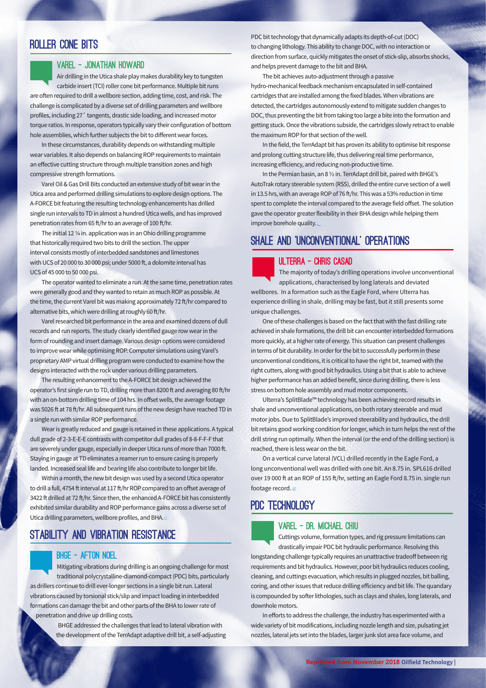## Roller Cone Bits

#### VAREL – Jonathan Howard

Air drilling in the Utica shale play makes durability key to tungsten carbide insert (TCI) roller cone bit performance. Multiple bit runs are often required to drill a wellbore section, adding time, cost, and risk. The challenge is complicated by a diverse set of drilling parameters and wellbore profiles, including 27˚ tangents, drastic side loading, and increased motor torque ratios. In response, operators typically vary their configuration of bottom hole assemblies, which further subjects the bit to different wear forces.

In these circumstances, durability depends on withstanding multiple wear variables. It also depends on balancing ROP requirements to maintain an effective cutting structure through multiple transition zones and high compressive strength formations.

Varel Oil & Gas Drill Bits conducted an extensive study of bit wear in the Utica area and performed drilling simulations to explore design options. The A-FORCE bit featuring the resulting technology enhancements has drilled single run intervals to TD in almost a hundred Utica wells, and has improved penetration rates from 65 ft/hr to an average of 100 ft/hr.

The initial 12 ¼ in. application was in an Ohio drilling programme that historically required two bits to drill the section. The upper interval consists mostly of interbedded sandstones and limestones with UCS of 20 000 to 30 000 psi; under 5000 ft, a dolomite interval has UCS of 45 000 to 50 000 psi.

The operator wanted to eliminate a run. At the same time, penetration rates were generally good and they wanted to retain as much ROP as possible. At the time, the current Varel bit was making approximately 72 ft/hr compared to alternative bits, which were drilling at roughly 60 ft/hr.

Varel researched bit performance in the area and examined dozens of dull records and run reports. The study clearly identified gauge row wear in the form of rounding and insert damage. Various design options were considered to improve wear while optimising ROP. Computer simulations using Varel's proprietary AMP virtual drilling program were conducted to examine how the designs interacted with the rock under various drilling parameters.

The resulting enhancement to the A-FORCE bit design achieved the operator's first single run to TD, drilling more than 8200 ft and averaging 80 ft/hr with an on-bottom drilling time of 104 hrs. In offset wells, the average footage was 5026 ft at 78 ft/hr. All subsequent runs of the new design have reached TD in a single run with similar ROP performance.

Wear is greatly reduced and gauge is retained in these applications. A typical dull grade of 2-3-E-E-E contrasts with competitor dull grades of 8-8-F-F-F that are severely under gauge, especially in deeper Utica runs of more than 7000 ft. Staying in gauge at TD eliminates a reamer run to ensure casing is properly landed. Increased seal life and bearing life also contribute to longer bit life.

Within a month, the new bit design was used by a second Utica operator to drill a full, 4754 ft interval at 117 ft/hr ROP compared to an offset average of 3422 ft drilled at 72 ft/hr. Since then, the enhanced A-FORCE bit has consistently exhibited similar durability and ROP performance gains across a diverse set of Utica drilling parameters, wellbore profiles, and BHA.

## STABILITY AND VIBRATION RESISTANCE

#### BHGE – Afton Noel

Mitigating vibrations during drilling is an ongoing challenge for most traditional polycrystalline-diamond-compact (PDC) bits, particularly as drillers continue to drill ever-longer sections in a single bit run. Lateral vibrations caused by torsional stick/slip and impact loading in interbedded formations can damage the bit and other parts of the BHA to lower rate of penetration and drive up drilling costs.

> BHGE addressed the challenges that lead to lateral vibration with the development of the TerrAdapt adaptive drill bit, a self-adjusting

PDC bit technology that dynamically adapts its depth-of-cut (DOC) to changing lithology. This ability to change DOC, with no interaction or direction from surface, quickly mitigates the onset of stick-slip, absorbs shocks, and helps prevent damage to the bit and BHA.

The bit achieves auto-adjustment through a passive hydro-mechanical feedback mechanism encapsulated in self-contained cartridges that are installed among the fixed blades. When vibrations are detected, the cartridges autonomously extend to mitigate sudden changes to DOC, thus preventing the bit from taking too large a bite into the formation and getting stuck. Once the vibrations subside, the cartridges slowly retract to enable the maximum ROP for that section of the well.

In the field, the TerrAdapt bit has proven its ability to optimise bit response and prolong cutting structure life, thus delivering real time performance, increasing efficiency, and reducing non-productive time.

In the Permian basin, an 8 ½ in. TerrAdapt drill bit, paired with BHGE's AutoTrak rotary steerable system (RSS), drilled the entire curve section of a well in 13.5 hrs, with an average ROP of 76 ft/hr. This was a 53% reduction in time spent to complete the interval compared to the average field offset. The solution gave the operator greater flexibility in their BHA design while helping them improve borehole quality.

# Shale and 'unconventional' operations

#### ULTERRA – Chris Casad

The majority of today's drilling operations involve unconventional applications, characterised by long laterals and deviated wellbores. In a formation such as the Eagle Ford, where Ulterra has experience drilling in shale, drilling may be fast, but it still presents some unique challenges.

One of these challenges is based on the fact that with the fast drilling rate achieved in shale formations, the drill bit can encounter interbedded formations more quickly, at a higher rate of energy. This situation can present challenges in terms of bit durability. In order for the bit to successfully perform in these unconventional conditions, it is critical to have the right bit, teamed with the right cutters, along with good bit hydraulics. Using a bit that is able to achieve higher performance has an added benefit, since during drilling, there is less stress on bottom hole assembly and mud motor components.

Ulterra's SplitBlade™ technology has been achieving record results in shale and unconventional applications, on both rotary steerable and mud motor jobs. Due to SplitBlade's improved steerability and hydraulics, the drill bit retains good working condition for longer, which in turn helps the rest of the drill string run optimally. When the interval (or the end of the drilling section) is reached, there is less wear on the bit.

On a vertical curve lateral (VCL) drilled recently in the Eagle Ford, a long unconventional well was drilled with one bit. An 8.75 in. SPL616 drilled over 19 000 ft at an ROP of 155 ft/hr, setting an Eagle Ford 8.75 in. single run footage record.

## PDC TECHNOLOGY



#### VAREL – Dr. Michael Chiu

Cuttings volume, formation types, and rig pressure limitations can drastically impair PDC bit hydraulic performance. Resolving this

longstanding challenge typically requires an unattractive tradeoff between rig requirements and bit hydraulics. However, poor bit hydraulics reduces cooling, cleaning, and cuttings evacuation, which results in plugged nozzles, bit balling, coring, and other issues that reduce drilling efficiency and bit life. The quandary is compounded by softer lithologies, such as clays and shales, long laterals, and downhole motors.

In efforts to address the challenge, the industry has experimented with a wide variety of bit modifications, including nozzle length and size, pulsating jet nozzles, lateral jets set into the blades, larger junk slot area face volume, and